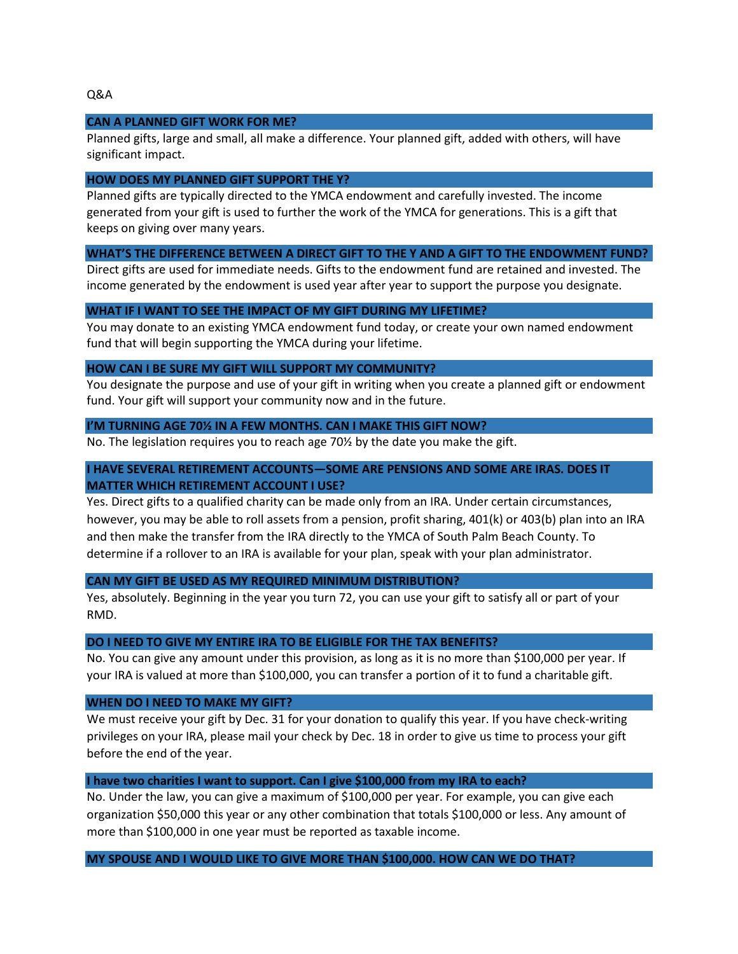# **CAN A PLANNED GIFT WORK FOR ME?**

Planned gifts, large and small, all make a difference. Your planned gift, added with others, will have significant impact.

### **HOW DOES MY PLANNED GIFT SUPPORT THE Y?**

Planned gifts are typically directed to the YMCA endowment and carefully invested. The income generated from your gift is used to further the work of the YMCA for generations. This is a gift that keeps on giving over many years.

## **WHAT'S THE DIFFERENCE BETWEEN A DIRECT GIFT TO THE Y AND A GIFT TO THE ENDOWMENT FUND?**

Direct gifts are used for immediate needs. Gifts to the endowment fund are retained and invested. The income generated by the endowment is used year after year to support the purpose you designate.

### **WHAT IF I WANT TO SEE THE IMPACT OF MY GIFT DURING MY LIFETIME?**

You may donate to an existing YMCA endowment fund today, or create your own named endowment fund that will begin supporting the YMCA during your lifetime.

#### **HOW CAN I BE SURE MY GIFT WILL SUPPORT MY COMMUNITY?**

You designate the purpose and use of your gift in writing when you create a planned gift or endowment fund. Your gift will support your community now and in the future.

### **I'M TURNING AGE 70½ IN A FEW MONTHS. CAN I MAKE THIS GIFT NOW?**

No. The legislation requires you to reach age 70½ by the date you make the gift.

# **I HAVE SEVERAL RETIREMENT ACCOUNTS—SOME ARE PENSIONS AND SOME ARE IRAS. DOES IT MATTER WHICH RETIREMENT ACCOUNT I USE?**

Yes. Direct gifts to a qualified charity can be made only from an IRA. Under certain circumstances, however, you may be able to roll assets from a pension, profit sharing, 401(k) or 403(b) plan into an IRA and then make the transfer from the IRA directly to the YMCA of South Palm Beach County. To determine if a rollover to an IRA is available for your plan, speak with your plan administrator.

## **CAN MY GIFT BE USED AS MY REQUIRED MINIMUM DISTRIBUTION?**

Yes, absolutely. Beginning in the year you turn 72, you can use your gift to satisfy all or part of your RMD.

#### **DO I NEED TO GIVE MY ENTIRE IRA TO BE ELIGIBLE FOR THE TAX BENEFITS?**

No. You can give any amount under this provision, as long as it is no more than \$100,000 per year. If your IRA is valued at more than \$100,000, you can transfer a portion of it to fund a charitable gift.

#### **WHEN DO I NEED TO MAKE MY GIFT?**

We must receive your gift by Dec. 31 for your donation to qualify this year. If you have check-writing privileges on your IRA, please mail your check by Dec. 18 in order to give us time to process your gift before the end of the year.

### **I have two charities I want to support. Can I give \$100,000 from my IRA to each?**

No. Under the law, you can give a maximum of \$100,000 per year. For example, you can give each organization \$50,000 this year or any other combination that totals \$100,000 or less. Any amount of more than \$100,000 in one year must be reported as taxable income.

## **MY SPOUSE AND I WOULD LIKE TO GIVE MORE THAN \$100,000. HOW CAN WE DO THAT?**

Q&A